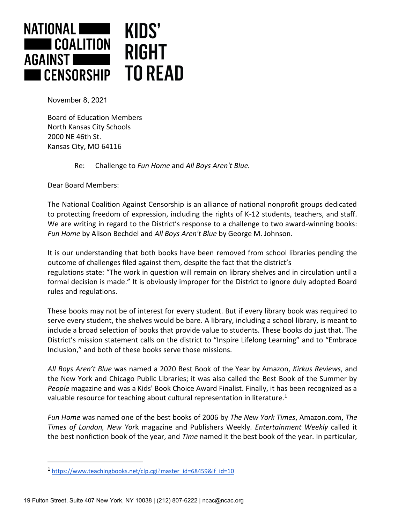

November 8, 2021

Board of Education Members North Kansas City Schools 2000 NE 46th St. Kansas City, MO 64116

Re: Challenge to *Fun Home* and *All Boys Aren't Blue.*

Dear Board Members:

The National Coalition Against Censorship is an alliance of national nonprofit groups dedicated to protecting freedom of expression, including the rights of K-12 students, teachers, and staff. We are writing in regard to the District's response to a challenge to two award-winning books: *Fun Home* by Alison Bechdel and *All Boys Aren't Blue* by George M. Johnson.

It is our understanding that both books have been removed from school libraries pending the outcome of challenges filed against them, despite the fact that the district's regulations state: "The work in question will remain on library shelves and in circulation until a formal decision is made." It is obviously improper for the District to ignore duly adopted Board rules and regulations.

These books may not be of interest for every student. But if every library book was required to serve every student, the shelves would be bare. A library, including a school library, is meant to include a broad selection of books that provide value to students. These books do just that. The District's mission statement calls on the district to "Inspire Lifelong Learning" and to "Embrace Inclusion," and both of these books serve those missions.

*All Boys Aren't Blue* was named a 2020 Best Book of the Year by Amazon, *Kirkus Reviews*, and the New York and Chicago Public Libraries; it was also called the Best Book of the Summer by *People* magazine and was a Kids' Book Choice Award Finalist. Finally, it has been recognized as a valuable resource for teaching about cultural representation in literature.<sup>1</sup>

*Fun Home* was named one of the best books of 2006 by *The New York Times*, Amazon.com, *The Times of London, New Yor*k magazine and Publishers Weekly. *Entertainment Weekly* called it the best nonfiction book of the year, and *Time* named it the best book of the year. In particular,

<sup>1</sup> [https://www.teachingbooks.net/clp.cgi?master\\_id=68459&lf\\_id=10](https://www.teachingbooks.net/clp.cgi?master_id=68459&lf_id=10)